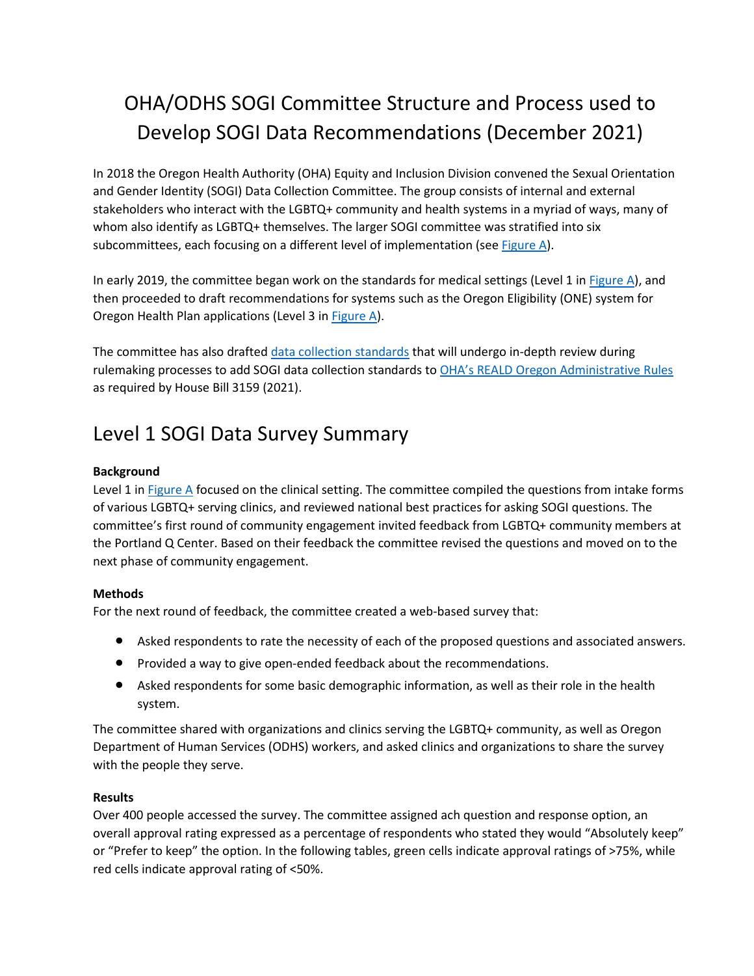# OHA/ODHS SOGI Committee Structure and Process used to Develop SOGI Data Recommendations (December 2021)

In 2018 the Oregon Health Authority (OHA) Equity and Inclusion Division convened the Sexual Orientation and Gender Identity (SOGI) Data Collection Committee. The group consists of internal and external stakeholders who interact with the LGBTQ+ community and health systems in a myriad of ways, many of whom also identify as LGBTQ+ themselves. The larger SOGI committee was stratified into six subcommittees, each focusing on a different level of implementation (se[e Figure A\)](#page-2-0).

In early 2019, the committee began work on the standards for medical settings (Level 1 i[n Figure A\)](#page-2-0), and then proceeded to draft recommendations for systems such as the Oregon Eligibility (ONE) system for Oregon Health Plan applications (Level 3 in [Figure A\)](#page-2-0).

The committee has also drafted [data collection standards](https://www.oregon.gov/oha/OEI/Documents/Draft-SOGI-Data-Recommendations.pdf) that will undergo in-depth review during rulemaking processes to add SOGI data collection standards to [OHA's REALD Oregon Administrative Rules](https://secure.sos.state.or.us/oard/displayDivisionRules.action?selectedDivision=4206) as required by House Bill 3159 (2021).

## Level 1 SOGI Data Survey Summary

### **Background**

Level 1 in [Figure A](#page-2-0) focused on the clinical setting. The committee compiled the questions from intake forms of various LGBTQ+ serving clinics, and reviewed national best practices for asking SOGI questions. The committee's first round of community engagement invited feedback from LGBTQ+ community members at the Portland Q Center. Based on their feedback the committee revised the questions and moved on to the next phase of community engagement.

#### **Methods**

For the next round of feedback, the committee created a web-based survey that:

- Asked respondents to rate the necessity of each of the proposed questions and associated answers.
- Provided a way to give open-ended feedback about the recommendations.
- Asked respondents for some basic demographic information, as well as their role in the health system.

The committee shared with organizations and clinics serving the LGBTQ+ community, as well as Oregon Department of Human Services (ODHS) workers, and asked clinics and organizations to share the survey with the people they serve.

#### **Results**

Over 400 people accessed the survey. The committee assigned ach question and response option, an overall approval rating expressed as a percentage of respondents who stated they would "Absolutely keep" or "Prefer to keep" the option. In the following tables, green cells indicate approval ratings of >75%, while red cells indicate approval rating of <50%.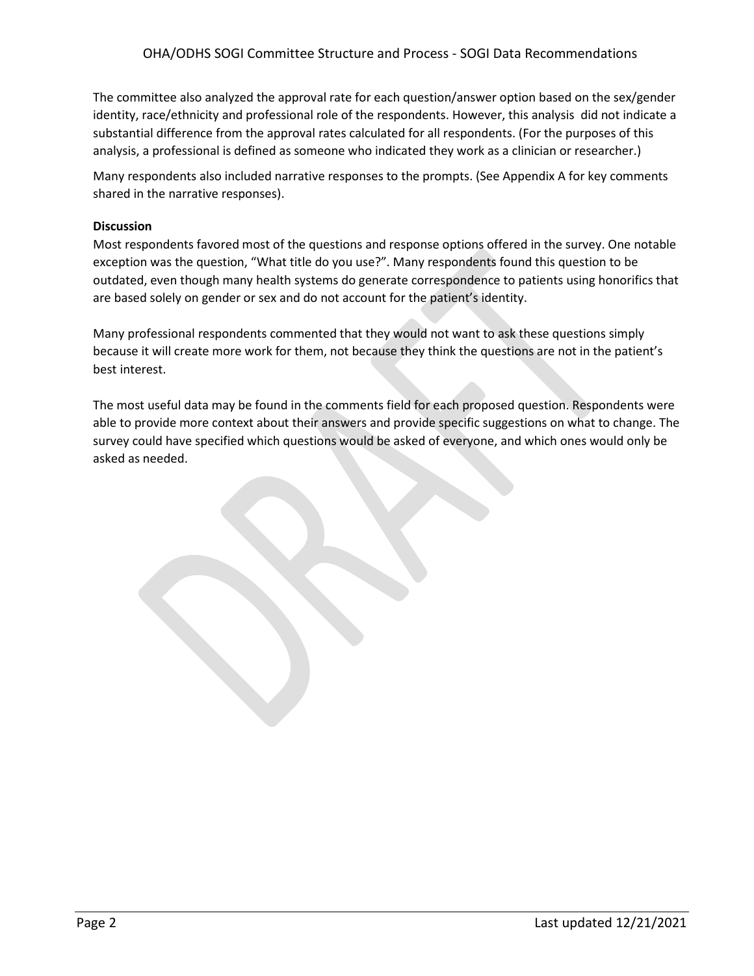The committee also analyzed the approval rate for each question/answer option based on the sex/gender identity, race/ethnicity and professional role of the respondents. However, this analysis did not indicate a substantial difference from the approval rates calculated for all respondents. (For the purposes of this analysis, a professional is defined as someone who indicated they work as a clinician or researcher.)

Many respondents also included narrative responses to the prompts. (See Appendix A for key comments shared in the narrative responses).

### **Discussion**

Most respondents favored most of the questions and response options offered in the survey. One notable exception was the question, "What title do you use?". Many respondents found this question to be outdated, even though many health systems do generate correspondence to patients using honorifics that are based solely on gender or sex and do not account for the patient's identity.

Many professional respondents commented that they would not want to ask these questions simply because it will create more work for them, not because they think the questions are not in the patient's best interest.

The most useful data may be found in the comments field for each proposed question. Respondents were able to provide more context about their answers and provide specific suggestions on what to change. The survey could have specified which questions would be asked of everyone, and which ones would only be asked as needed.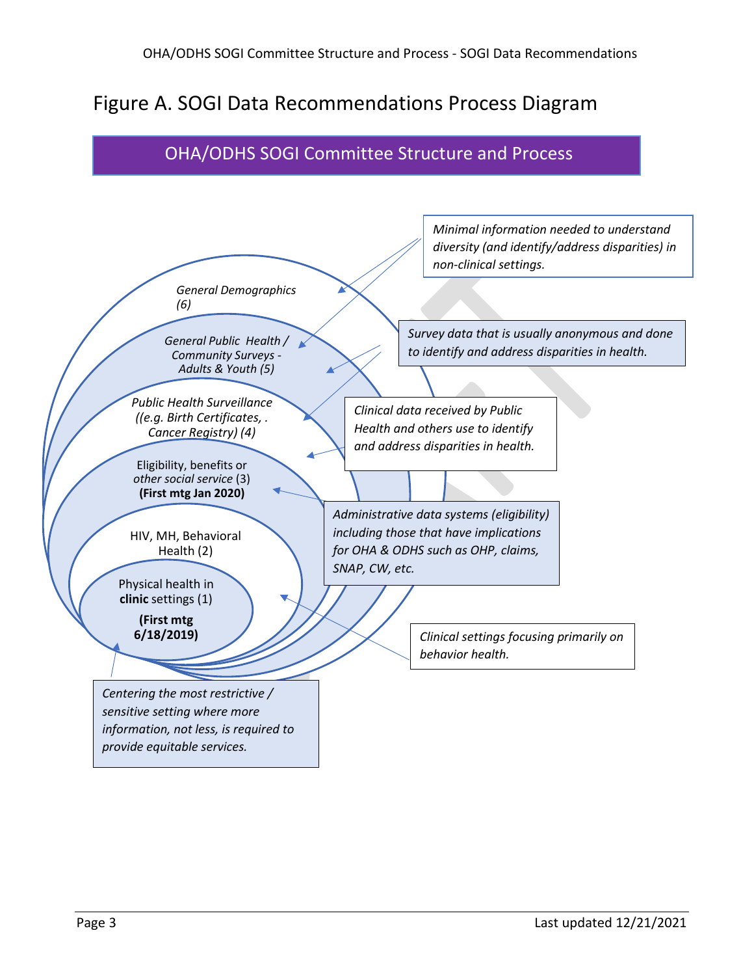## <span id="page-2-0"></span>Figure A. SOGI Data Recommendations Process Diagram

### OHA/ODHS SOGI Committee Structure and Process

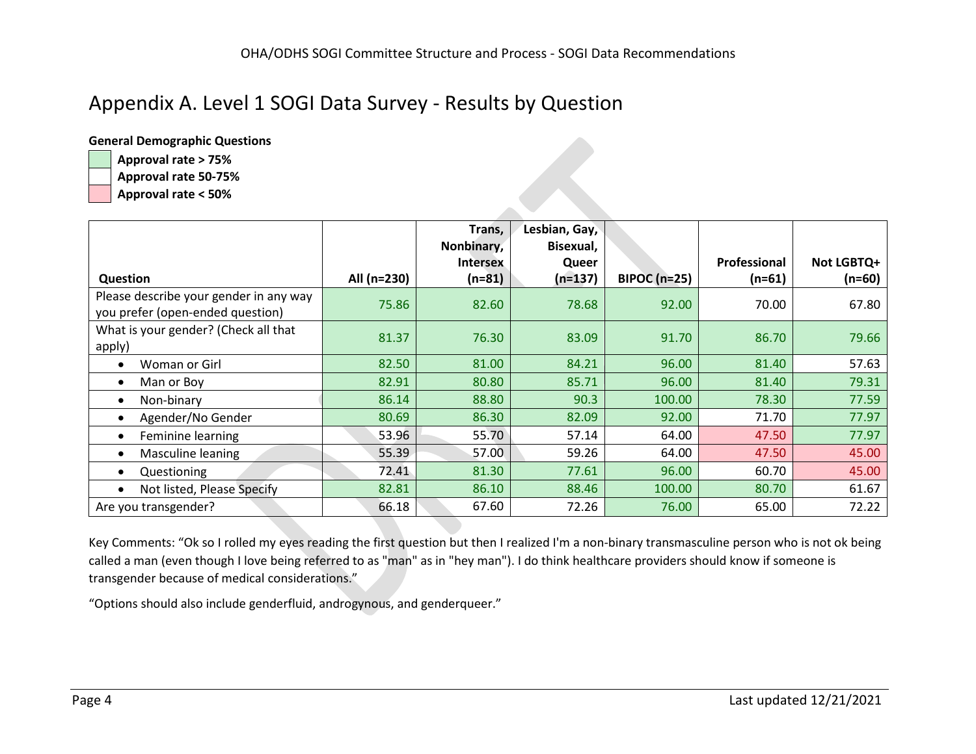### Appendix A. Level 1 SOGI Data Survey - Results by Question

**General Demographic Questions**

**Approval rate > 75%**

**Approval rate 50-75%**

**Approval rate < 50%**

|                                                                            |             | Trans,<br>Nonbinary, | Lesbian, Gay,<br>Bisexual, |                     |              |            |
|----------------------------------------------------------------------------|-------------|----------------------|----------------------------|---------------------|--------------|------------|
|                                                                            |             | <b>Intersex</b>      | Queer                      |                     | Professional | Not LGBTQ+ |
| Question                                                                   | All (n=230) | $(n=81)$             | $(n=137)$                  | <b>BIPOC (n=25)</b> | $(n=61)$     | $(n=60)$   |
| Please describe your gender in any way<br>you prefer (open-ended question) | 75.86       | 82.60                | 78.68                      | 92.00               | 70.00        | 67.80      |
| What is your gender? (Check all that<br>apply)                             | 81.37       | 76.30                | 83.09                      | 91.70               | 86.70        | 79.66      |
| Woman or Girl                                                              | 82.50       | 81.00                | 84.21                      | 96.00               | 81.40        | 57.63      |
| Man or Boy                                                                 | 82.91       | 80.80                | 85.71                      | 96.00               | 81.40        | 79.31      |
| Non-binary<br>$\bullet$                                                    | 86.14       | 88.80                | 90.3                       | 100.00              | 78.30        | 77.59      |
| Agender/No Gender                                                          | 80.69       | 86.30                | 82.09                      | 92.00               | 71.70        | 77.97      |
| Feminine learning<br>$\bullet$                                             | 53.96       | 55.70                | 57.14                      | 64.00               | 47.50        | 77.97      |
| Masculine leaning                                                          | 55.39       | 57.00                | 59.26                      | 64.00               | 47.50        | 45.00      |
| Questioning<br>$\bullet$                                                   | 72.41       | 81.30                | 77.61                      | 96.00               | 60.70        | 45.00      |
| Not listed, Please Specify                                                 | 82.81       | 86.10                | 88.46                      | 100.00              | 80.70        | 61.67      |
| Are you transgender?                                                       | 66.18       | 67.60                | 72.26                      | 76.00               | 65.00        | 72.22      |

Key Comments: "Ok so I rolled my eyes reading the first question but then I realized I'm a non-binary transmasculine person who is not ok being called a man (even though I love being referred to as "man" as in "hey man"). I do think healthcare providers should know if someone is transgender because of medical considerations."

"Options should also include genderfluid, androgynous, and genderqueer."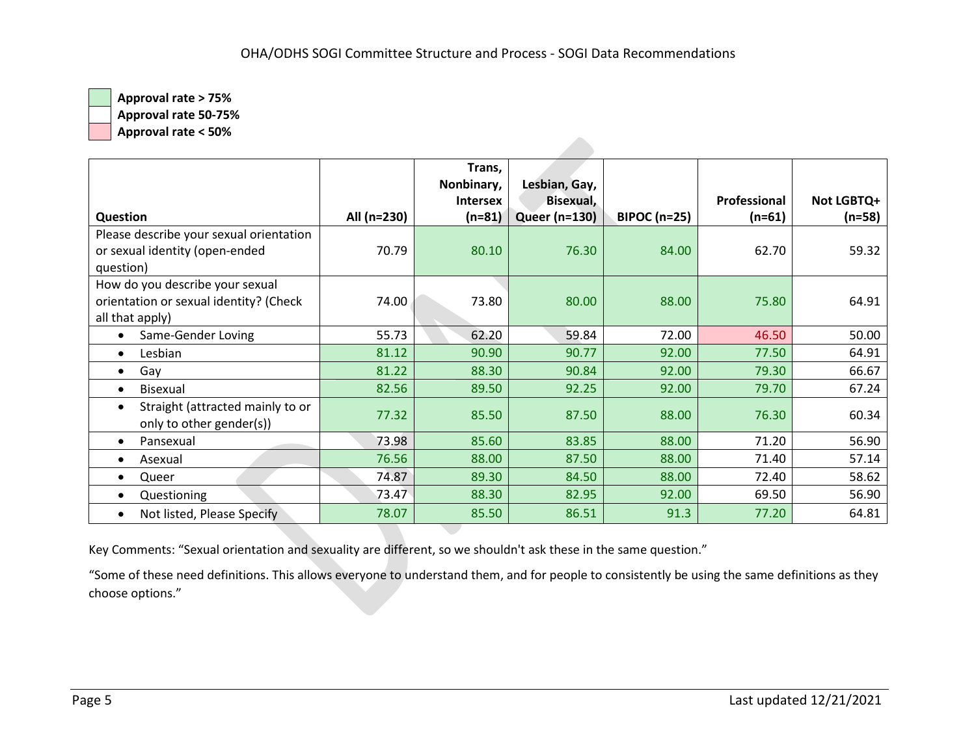**Approval rate 50-75%**

**Approval rate < 50%**

|                                                                           |             | Trans,<br>Nonbinary, | Lesbian, Gay,        |                     |              |            |
|---------------------------------------------------------------------------|-------------|----------------------|----------------------|---------------------|--------------|------------|
|                                                                           |             | <b>Intersex</b>      | Bisexual,            |                     | Professional | Not LGBTQ+ |
| <b>Question</b>                                                           | All (n=230) | $(n=81)$             | <b>Queer (n=130)</b> | <b>BIPOC (n=25)</b> | $(n=61)$     | (n=58)     |
| Please describe your sexual orientation                                   |             |                      |                      |                     |              |            |
| or sexual identity (open-ended                                            | 70.79       | 80.10                | 76.30                | 84.00               | 62.70        | 59.32      |
| question)                                                                 |             |                      |                      |                     |              |            |
| How do you describe your sexual                                           |             |                      |                      |                     |              |            |
| orientation or sexual identity? (Check                                    | 74.00       | 73.80                | 80.00                | 88.00               | 75.80        | 64.91      |
| all that apply)                                                           |             |                      |                      |                     |              |            |
| Same-Gender Loving                                                        | 55.73       | 62.20                | 59.84                | 72.00               | 46.50        | 50.00      |
| Lesbian<br>$\bullet$                                                      | 81.12       | 90.90                | 90.77                | 92.00               | 77.50        | 64.91      |
| Gay<br>$\bullet$                                                          | 81.22       | 88.30                | 90.84                | 92.00               | 79.30        | 66.67      |
| <b>Bisexual</b><br>$\bullet$                                              | 82.56       | 89.50                | 92.25                | 92.00               | 79.70        | 67.24      |
| Straight (attracted mainly to or<br>$\bullet$<br>only to other gender(s)) | 77.32       | 85.50                | 87.50                | 88.00               | 76.30        | 60.34      |
| Pansexual<br>$\bullet$                                                    | 73.98       | 85.60                | 83.85                | 88.00               | 71.20        | 56.90      |
| Asexual                                                                   | 76.56       | 88.00                | 87.50                | 88.00               | 71.40        | 57.14      |
| Queer                                                                     | 74.87       | 89.30                | 84.50                | 88.00               | 72.40        | 58.62      |
| Questioning                                                               | 73.47       | 88.30                | 82.95                | 92.00               | 69.50        | 56.90      |
| Not listed, Please Specify                                                | 78.07       | 85.50                | 86.51                | 91.3                | 77.20        | 64.81      |

Key Comments: "Sexual orientation and sexuality are different, so we shouldn't ask these in the same question."

"Some of these need definitions. This allows everyone to understand them, and for people to consistently be using the same definitions as they choose options."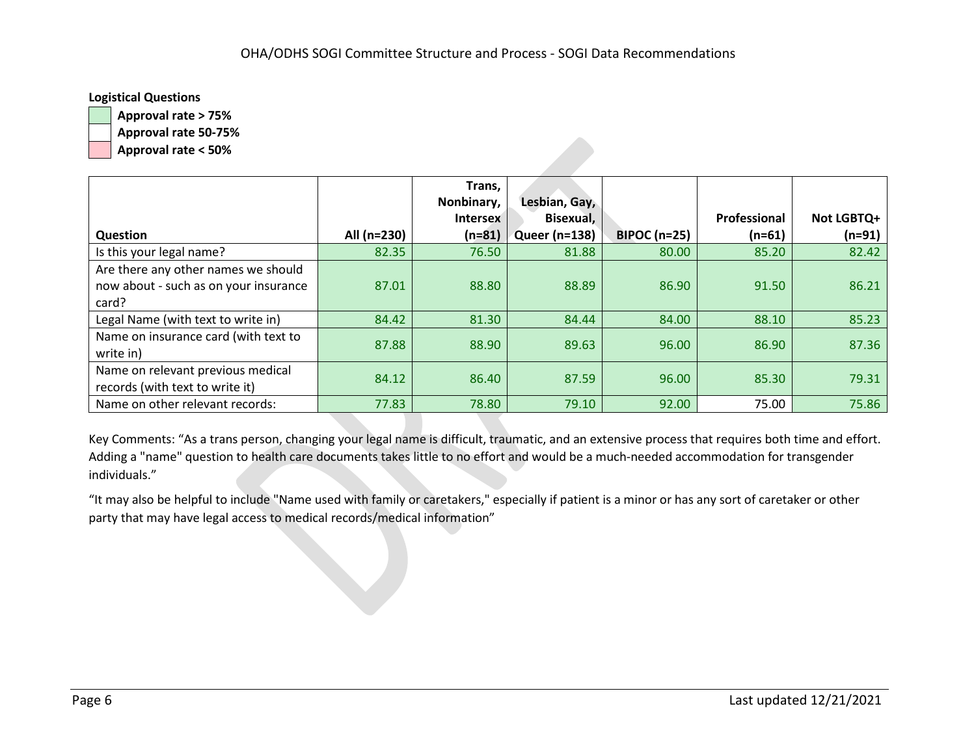### **Logistical Questions**

**Approval rate > 75% Approval rate 50-75%**

**Approval rate < 50%**

|                                       |             | Trans,          |                      |                     |              |            |
|---------------------------------------|-------------|-----------------|----------------------|---------------------|--------------|------------|
|                                       |             | Nonbinary,      | Lesbian, Gay,        |                     |              |            |
|                                       |             | <b>Intersex</b> | Bisexual,            |                     | Professional | Not LGBTQ+ |
| <b>Question</b>                       | All (n=230) | $(n=81)$        | <b>Queer (n=138)</b> | <b>BIPOC (n=25)</b> | $(n=61)$     | $(n=91)$   |
| Is this your legal name?              | 82.35       | 76.50           | 81.88                | 80.00               | 85.20        | 82.42      |
| Are there any other names we should   |             |                 |                      |                     |              |            |
| now about - such as on your insurance | 87.01       | 88.80           | 88.89                | 86.90               | 91.50        | 86.21      |
| card?                                 |             |                 |                      |                     |              |            |
| Legal Name (with text to write in)    | 84.42       | 81.30           | 84.44                | 84.00               | 88.10        | 85.23      |
| Name on insurance card (with text to  | 87.88       | 88.90           | 89.63                | 96.00               | 86.90        | 87.36      |
| write in)                             |             |                 |                      |                     |              |            |
| Name on relevant previous medical     | 84.12       | 86.40           | 87.59                | 96.00               | 85.30        | 79.31      |
| records (with text to write it)       |             |                 |                      |                     |              |            |
| Name on other relevant records:       | 77.83       | 78.80           | 79.10                | 92.00               | 75.00        | 75.86      |

Key Comments: "As a trans person, changing your legal name is difficult, traumatic, and an extensive process that requires both time and effort. Adding a "name" question to health care documents takes little to no effort and would be a much-needed accommodation for transgender individuals."

"It may also be helpful to include "Name used with family or caretakers," especially if patient is a minor or has any sort of caretaker or other party that may have legal access to medical records/medical information"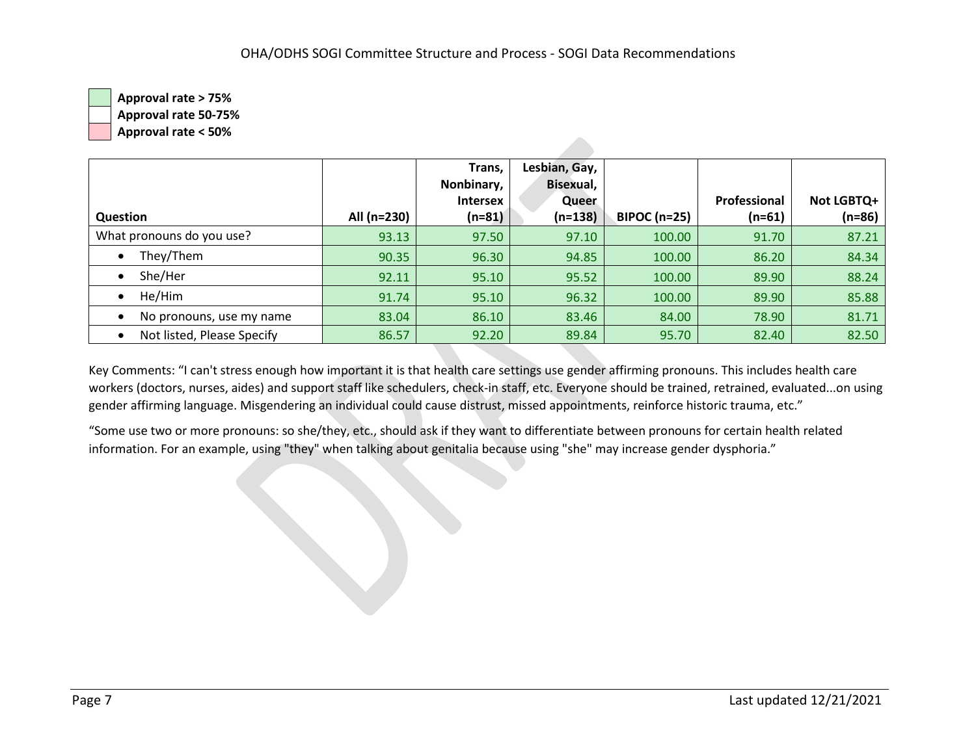**Approval rate > 75% Approval rate 50-75%**

**Approval rate < 50%**

| Question                   | All (n=230) | Trans,<br>Nonbinary,<br><b>Intersex</b><br>$(n=81)$ | Lesbian, Gay,<br>Bisexual,<br>Queer<br>$(n=138)$ | <b>BIPOC (n=25)</b> | Professional<br>$(n=61)$ | Not LGBTQ+<br>$(n=86)$ |
|----------------------------|-------------|-----------------------------------------------------|--------------------------------------------------|---------------------|--------------------------|------------------------|
| What pronouns do you use?  | 93.13       | 97.50                                               | 97.10                                            | 100.00              | 91.70                    | 87.21                  |
| They/Them                  | 90.35       | 96.30                                               | 94.85                                            | 100.00              | 86.20                    | 84.34                  |
| She/Her                    | 92.11       | 95.10                                               | 95.52                                            | 100.00              | 89.90                    | 88.24                  |
| He/Him                     | 91.74       | 95.10                                               | 96.32                                            | 100.00              | 89.90                    | 85.88                  |
| No pronouns, use my name   | 83.04       | 86.10                                               | 83.46                                            | 84.00               | 78.90                    | 81.71                  |
| Not listed, Please Specify | 86.57       | 92.20                                               | 89.84                                            | 95.70               | 82.40                    | 82.50                  |

Key Comments: "I can't stress enough how important it is that health care settings use gender affirming pronouns. This includes health care workers (doctors, nurses, aides) and support staff like schedulers, check-in staff, etc. Everyone should be trained, retrained, evaluated...on using gender affirming language. Misgendering an individual could cause distrust, missed appointments, reinforce historic trauma, etc."

"Some use two or more pronouns: so she/they, etc., should ask if they want to differentiate between pronouns for certain health related information. For an example, using "they" when talking about genitalia because using "she" may increase gender dysphoria."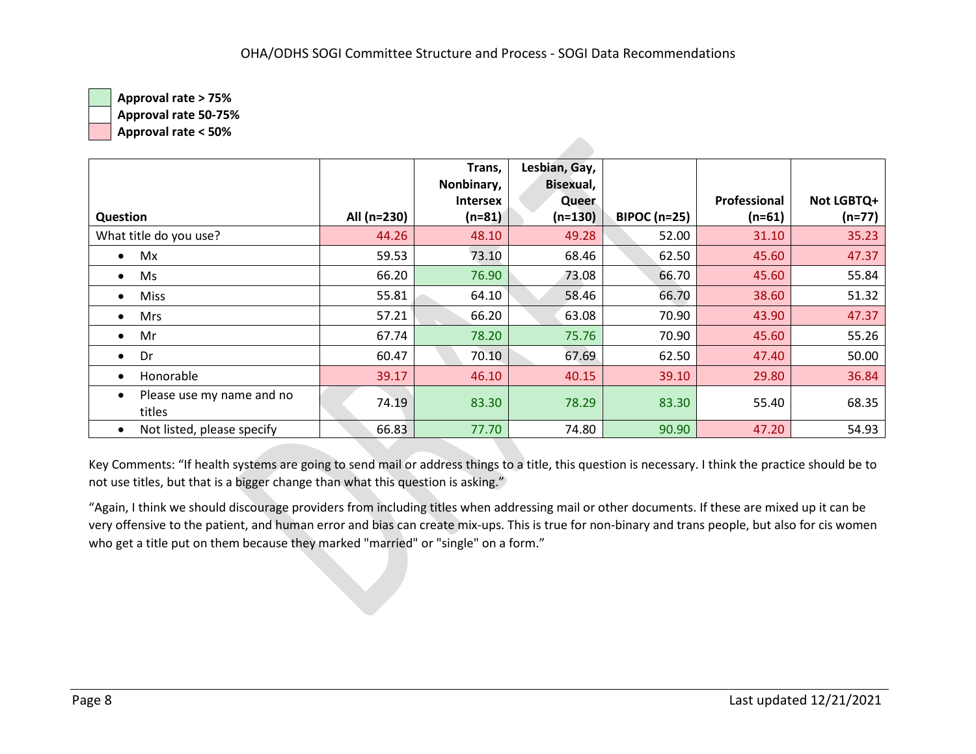**Approval rate 50-75%**

**Approval rate < 50%**

|                                     |             | Trans,          | Lesbian, Gay, |                     |              |            |
|-------------------------------------|-------------|-----------------|---------------|---------------------|--------------|------------|
|                                     |             | Nonbinary,      | Bisexual,     |                     |              |            |
|                                     |             | <b>Intersex</b> | Queer         |                     | Professional | Not LGBTQ+ |
| Question                            | All (n=230) | $(n=81)$        | $(n=130)$     | <b>BIPOC (n=25)</b> | $(n=61)$     | $(n=77)$   |
| What title do you use?              | 44.26       | 48.10           | 49.28         | 52.00               | 31.10        | 35.23      |
| Mx<br>$\bullet$                     | 59.53       | 73.10           | 68.46         | 62.50               | 45.60        | 47.37      |
| Ms<br>$\bullet$                     | 66.20       | 76.90           | 73.08         | 66.70               | 45.60        | 55.84      |
| <b>Miss</b><br>$\bullet$            | 55.81       | 64.10           | 58.46         | 66.70               | 38.60        | 51.32      |
| Mrs<br>$\bullet$                    | 57.21       | 66.20           | 63.08         | 70.90               | 43.90        | 47.37      |
| Mr<br>$\bullet$                     | 67.74       | 78.20           | 75.76         | 70.90               | 45.60        | 55.26      |
| Dr<br>$\bullet$                     | 60.47       | 70.10           | 67.69         | 62.50               | 47.40        | 50.00      |
| Honorable<br>$\bullet$              | 39.17       | 46.10           | 40.15         | 39.10               | 29.80        | 36.84      |
| Please use my name and no<br>titles | 74.19       | 83.30           | 78.29         | 83.30               | 55.40        | 68.35      |
| Not listed, please specify          | 66.83       | 77.70           | 74.80         | 90.90               | 47.20        | 54.93      |

Key Comments: "If health systems are going to send mail or address things to a title, this question is necessary. I think the practice should be to not use titles, but that is a bigger change than what this question is asking."

"Again, I think we should discourage providers from including titles when addressing mail or other documents. If these are mixed up it can be very offensive to the patient, and human error and bias can create mix-ups. This is true for non-binary and trans people, but also for cis women who get a title put on them because they marked "married" or "single" on a form."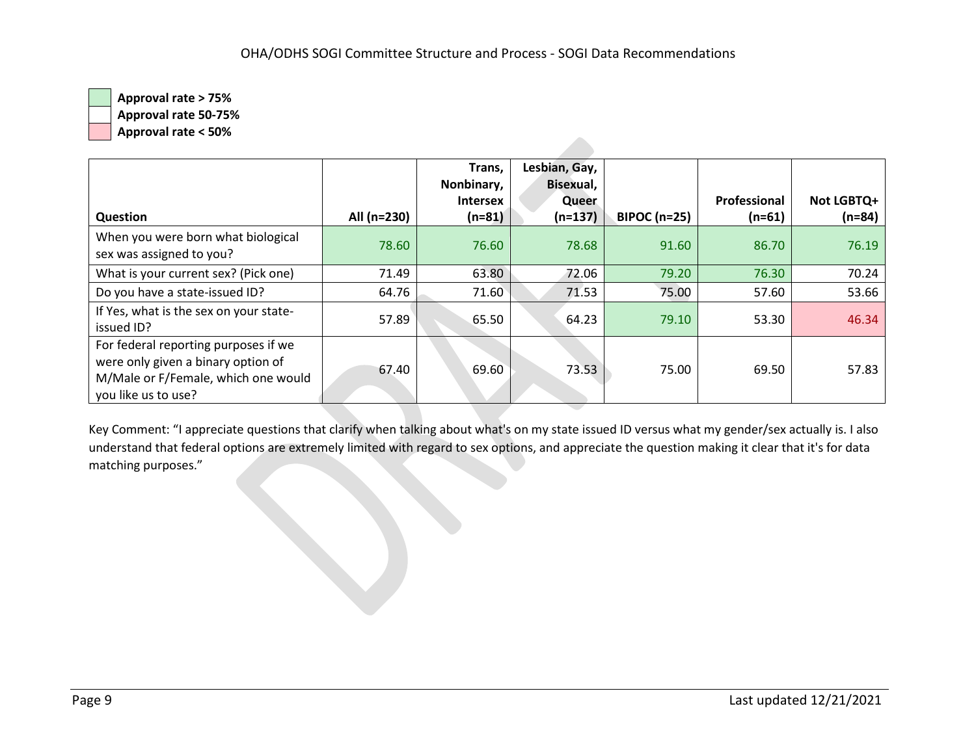**Approval rate 50-75%**

**Approval rate < 50%**

|                                                                                                                                          |             | Trans,<br>Nonbinary, | Lesbian, Gay,<br>Bisexual, |                     |              |            |
|------------------------------------------------------------------------------------------------------------------------------------------|-------------|----------------------|----------------------------|---------------------|--------------|------------|
|                                                                                                                                          |             | <b>Intersex</b>      | Queer                      |                     | Professional | Not LGBTQ+ |
| <b>Question</b>                                                                                                                          | All (n=230) | $(n=81)$             | $(n=137)$                  | <b>BIPOC (n=25)</b> | $(n=61)$     | $(n=84)$   |
| When you were born what biological<br>sex was assigned to you?                                                                           | 78.60       | 76.60                | 78.68                      | 91.60               | 86.70        | 76.19      |
| What is your current sex? (Pick one)                                                                                                     | 71.49       | 63.80                | 72.06                      | 79.20               | 76.30        | 70.24      |
| Do you have a state-issued ID?                                                                                                           | 64.76       | 71.60                | 71.53                      | 75.00               | 57.60        | 53.66      |
| If Yes, what is the sex on your state-<br>issued ID?                                                                                     | 57.89       | 65.50                | 64.23                      | 79.10               | 53.30        | 46.34      |
| For federal reporting purposes if we<br>were only given a binary option of<br>M/Male or F/Female, which one would<br>you like us to use? | 67.40       | 69.60                | 73.53                      | 75.00               | 69.50        | 57.83      |

Key Comment: "I appreciate questions that clarify when talking about what's on my state issued ID versus what my gender/sex actually is. I also understand that federal options are extremely limited with regard to sex options, and appreciate the question making it clear that it's for data matching purposes."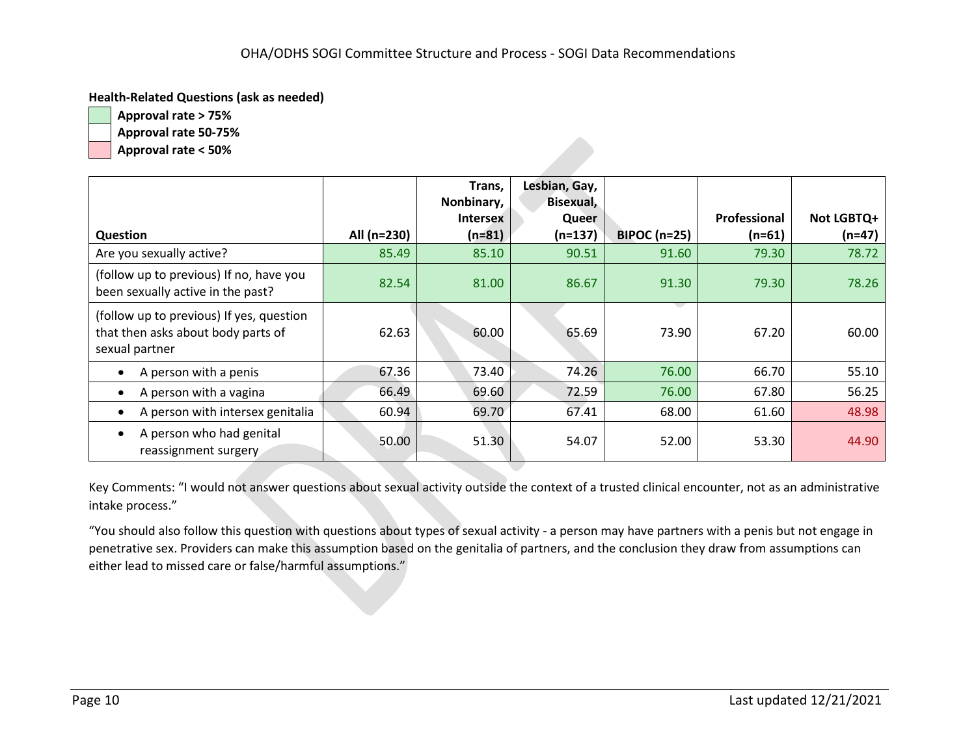#### **Health-Related Questions (ask as needed)**

**Approval rate > 75% Approval rate 50-75%**

**Approval rate < 50%**

|                                                                                                  |             | Trans,                        | Lesbian, Gay,<br>Bisexual, |                     |              |            |
|--------------------------------------------------------------------------------------------------|-------------|-------------------------------|----------------------------|---------------------|--------------|------------|
|                                                                                                  |             | Nonbinary,<br><b>Intersex</b> | Queer                      |                     | Professional | Not LGBTQ+ |
| <b>Question</b>                                                                                  | All (n=230) | $(n=81)$                      | $(n=137)$                  | <b>BIPOC (n=25)</b> | $(n=61)$     | $(n=47)$   |
| Are you sexually active?                                                                         | 85.49       | 85.10                         | 90.51                      | 91.60               | 79.30        | 78.72      |
| (follow up to previous) If no, have you<br>been sexually active in the past?                     | 82.54       | 81.00                         | 86.67                      | 91.30               | 79.30        | 78.26      |
| (follow up to previous) If yes, question<br>that then asks about body parts of<br>sexual partner | 62.63       | 60.00                         | 65.69                      | 73.90               | 67.20        | 60.00      |
| A person with a penis                                                                            | 67.36       | 73.40                         | 74.26                      | 76.00               | 66.70        | 55.10      |
| A person with a vagina                                                                           | 66.49       | 69.60                         | 72.59                      | 76.00               | 67.80        | 56.25      |
| A person with intersex genitalia                                                                 | 60.94       | 69.70                         | 67.41                      | 68.00               | 61.60        | 48.98      |
| A person who had genital<br>reassignment surgery                                                 | 50.00       | 51.30                         | 54.07                      | 52.00               | 53.30        | 44.90      |

Key Comments: "I would not answer questions about sexual activity outside the context of a trusted clinical encounter, not as an administrative intake process."

"You should also follow this question with questions about types of sexual activity - a person may have partners with a penis but not engage in penetrative sex. Providers can make this assumption based on the genitalia of partners, and the conclusion they draw from assumptions can either lead to missed care or false/harmful assumptions."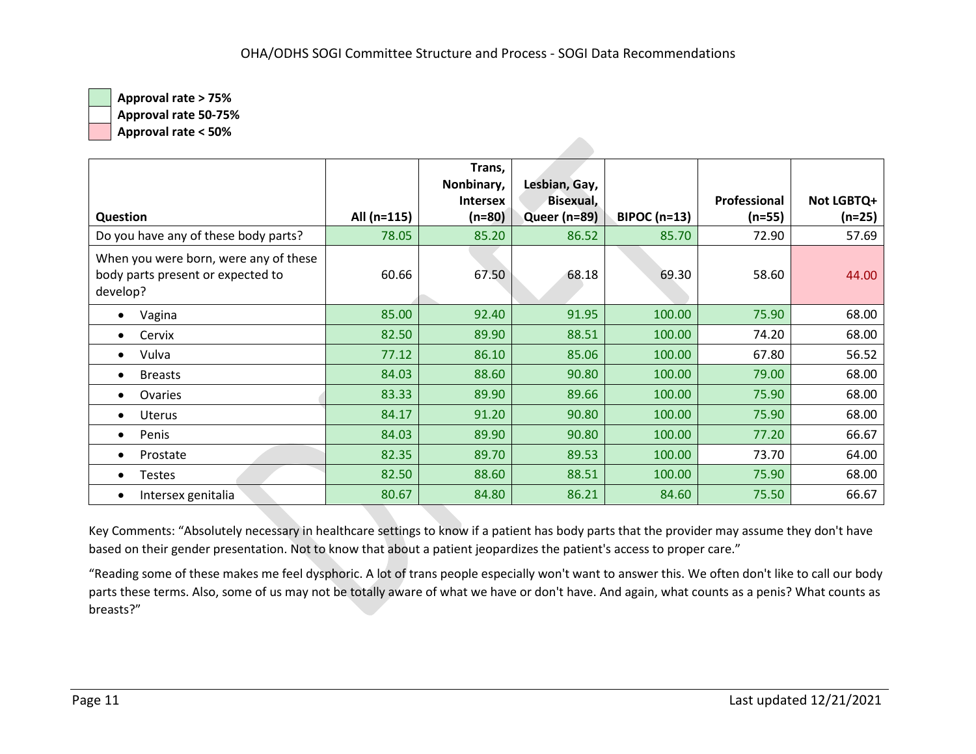**Approval rate 50-75%**

**Approval rate < 50%**

|                                                                                        |             | Trans,<br>Nonbinary,<br><b>Intersex</b> | Lesbian, Gay,<br>Bisexual, |               | Professional | Not LGBTQ+ |
|----------------------------------------------------------------------------------------|-------------|-----------------------------------------|----------------------------|---------------|--------------|------------|
| <b>Question</b>                                                                        | All (n=115) | $(n=80)$                                | Queer (n=89)               | $BIPOC(n=13)$ | $(n=55)$     | $(n=25)$   |
| Do you have any of these body parts?                                                   | 78.05       | 85.20                                   | 86.52                      | 85.70         | 72.90        | 57.69      |
| When you were born, were any of these<br>body parts present or expected to<br>develop? | 60.66       | 67.50                                   | 68.18                      | 69.30         | 58.60        | 44.00      |
| Vagina<br>$\bullet$                                                                    | 85.00       | 92.40                                   | 91.95                      | 100.00        | 75.90        | 68.00      |
| Cervix<br>$\bullet$                                                                    | 82.50       | 89.90                                   | 88.51                      | 100.00        | 74.20        | 68.00      |
| Vulva<br>$\bullet$                                                                     | 77.12       | 86.10                                   | 85.06                      | 100.00        | 67.80        | 56.52      |
| <b>Breasts</b><br>$\bullet$                                                            | 84.03       | 88.60                                   | 90.80                      | 100.00        | 79.00        | 68.00      |
| Ovaries<br>$\bullet$                                                                   | 83.33       | 89.90                                   | 89.66                      | 100.00        | 75.90        | 68.00      |
| Uterus<br>$\bullet$                                                                    | 84.17       | 91.20                                   | 90.80                      | 100.00        | 75.90        | 68.00      |
| Penis<br>$\bullet$                                                                     | 84.03       | 89.90                                   | 90.80                      | 100.00        | 77.20        | 66.67      |
| Prostate<br>$\bullet$                                                                  | 82.35       | 89.70                                   | 89.53                      | 100.00        | 73.70        | 64.00      |
| Testes<br>$\bullet$                                                                    | 82.50       | 88.60                                   | 88.51                      | 100.00        | 75.90        | 68.00      |
| Intersex genitalia                                                                     | 80.67       | 84.80                                   | 86.21                      | 84.60         | 75.50        | 66.67      |

Key Comments: "Absolutely necessary in healthcare settings to know if a patient has body parts that the provider may assume they don't have based on their gender presentation. Not to know that about a patient jeopardizes the patient's access to proper care."

"Reading some of these makes me feel dysphoric. A lot of trans people especially won't want to answer this. We often don't like to call our body parts these terms. Also, some of us may not be totally aware of what we have or don't have. And again, what counts as a penis? What counts as breasts?"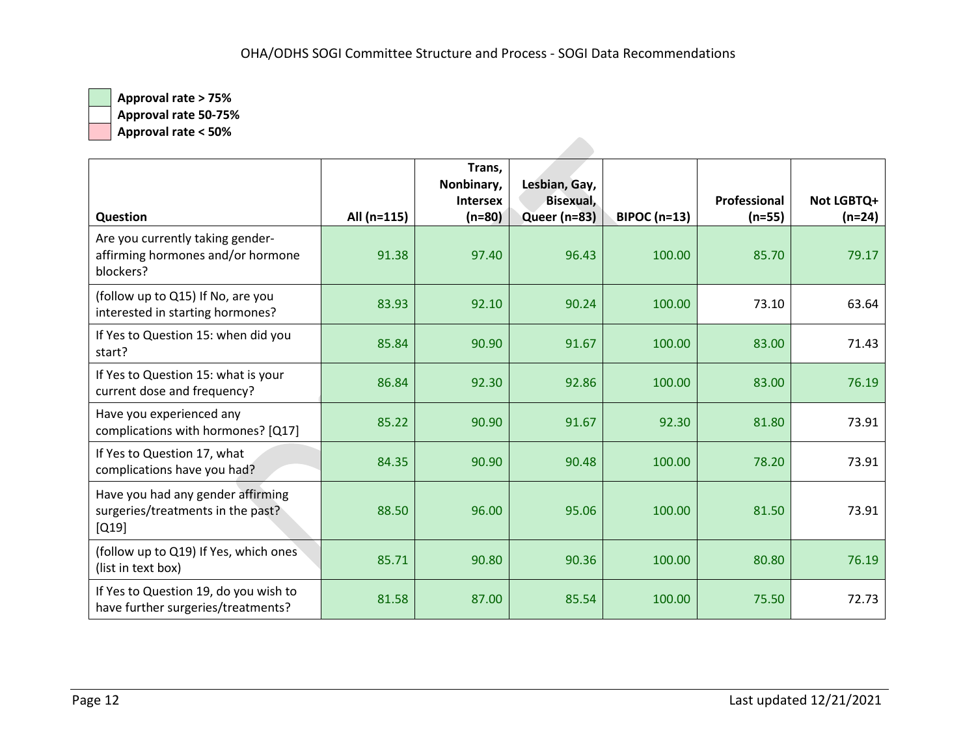**Approval rate 50-75%**

**Approval rate < 50%**

|                                                                                    |             | Trans,<br>Nonbinary,<br><b>Intersex</b> | Lesbian, Gay,<br>Bisexual, |                     | Professional | Not LGBTQ+ |
|------------------------------------------------------------------------------------|-------------|-----------------------------------------|----------------------------|---------------------|--------------|------------|
| <b>Question</b>                                                                    | All (n=115) | $(n=80)$                                | Queer (n=83)               | <b>BIPOC (n=13)</b> | $(n=55)$     | $(n=24)$   |
| Are you currently taking gender-<br>affirming hormones and/or hormone<br>blockers? | 91.38       | 97.40                                   | 96.43                      | 100.00              | 85.70        | 79.17      |
| (follow up to Q15) If No, are you<br>interested in starting hormones?              | 83.93       | 92.10                                   | 90.24                      | 100.00              | 73.10        | 63.64      |
| If Yes to Question 15: when did you<br>start?                                      | 85.84       | 90.90                                   | 91.67                      | 100.00              | 83.00        | 71.43      |
| If Yes to Question 15: what is your<br>current dose and frequency?                 | 86.84       | 92.30                                   | 92.86                      | 100.00              | 83.00        | 76.19      |
| Have you experienced any<br>complications with hormones? [Q17]                     | 85.22       | 90.90                                   | 91.67                      | 92.30               | 81.80        | 73.91      |
| If Yes to Question 17, what<br>complications have you had?                         | 84.35       | 90.90                                   | 90.48                      | 100.00              | 78.20        | 73.91      |
| Have you had any gender affirming<br>surgeries/treatments in the past?<br>$[Q19]$  | 88.50       | 96.00                                   | 95.06                      | 100.00              | 81.50        | 73.91      |
| (follow up to Q19) If Yes, which ones<br>(list in text box)                        | 85.71       | 90.80                                   | 90.36                      | 100.00              | 80.80        | 76.19      |
| If Yes to Question 19, do you wish to<br>have further surgeries/treatments?        | 81.58       | 87.00                                   | 85.54                      | 100.00              | 75.50        | 72.73      |